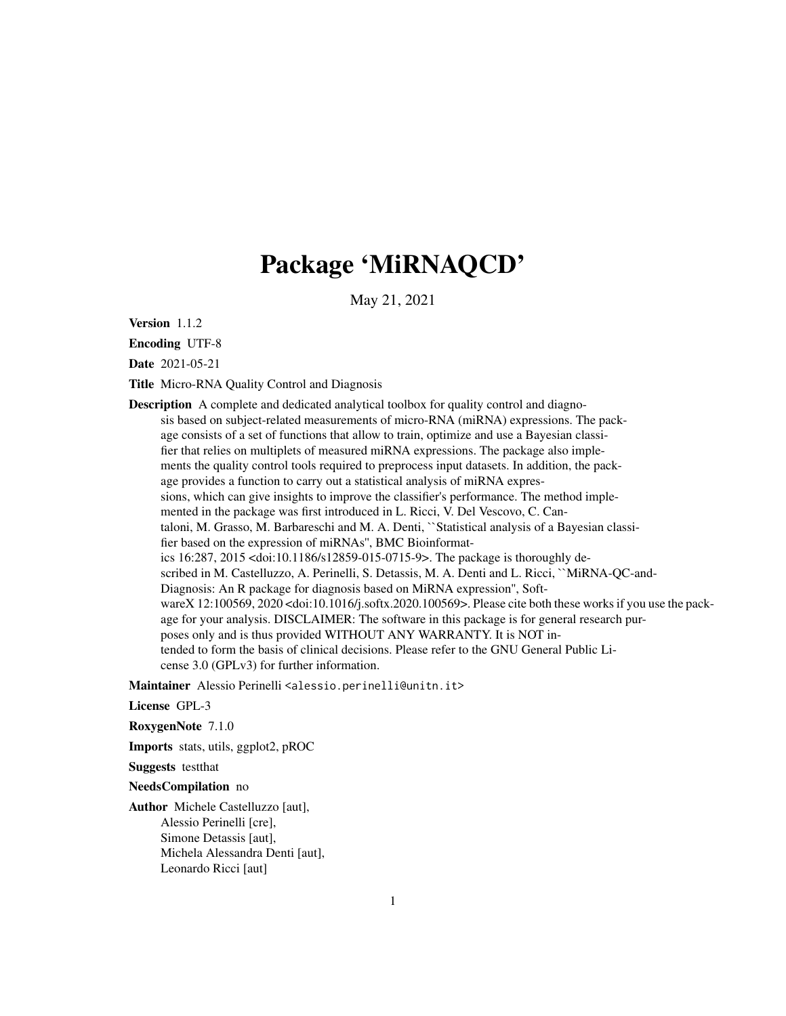## Package 'MiRNAQCD'

May 21, 2021

Version 1.1.2

Encoding UTF-8

Date 2021-05-21

Title Micro-RNA Quality Control and Diagnosis

Description A complete and dedicated analytical toolbox for quality control and diagnosis based on subject-related measurements of micro-RNA (miRNA) expressions. The package consists of a set of functions that allow to train, optimize and use a Bayesian classifier that relies on multiplets of measured miRNA expressions. The package also implements the quality control tools required to preprocess input datasets. In addition, the package provides a function to carry out a statistical analysis of miRNA expressions, which can give insights to improve the classifier's performance. The method implemented in the package was first introduced in L. Ricci, V. Del Vescovo, C. Cantaloni, M. Grasso, M. Barbareschi and M. A. Denti, ``Statistical analysis of a Bayesian classifier based on the expression of miRNAs'', BMC Bioinformatics 16:287, 2015 <doi:10.1186/s12859-015-0715-9>. The package is thoroughly described in M. Castelluzzo, A. Perinelli, S. Detassis, M. A. Denti and L. Ricci, ``MiRNA-QC-and-Diagnosis: An R package for diagnosis based on MiRNA expression'', SoftwareX 12:100569, 2020 <doi:10.1016/j.softx.2020.100569>. Please cite both these works if you use the package for your analysis. DISCLAIMER: The software in this package is for general research purposes only and is thus provided WITHOUT ANY WARRANTY. It is NOT intended to form the basis of clinical decisions. Please refer to the GNU General Public License 3.0 (GPLv3) for further information.

Maintainer Alessio Perinelli <alessio.perinelli@unitn.it>

#### License GPL-3

RoxygenNote 7.1.0

Imports stats, utils, ggplot2, pROC

Suggests testthat

NeedsCompilation no

Author Michele Castelluzzo [aut], Alessio Perinelli [cre], Simone Detassis [aut], Michela Alessandra Denti [aut], Leonardo Ricci [aut]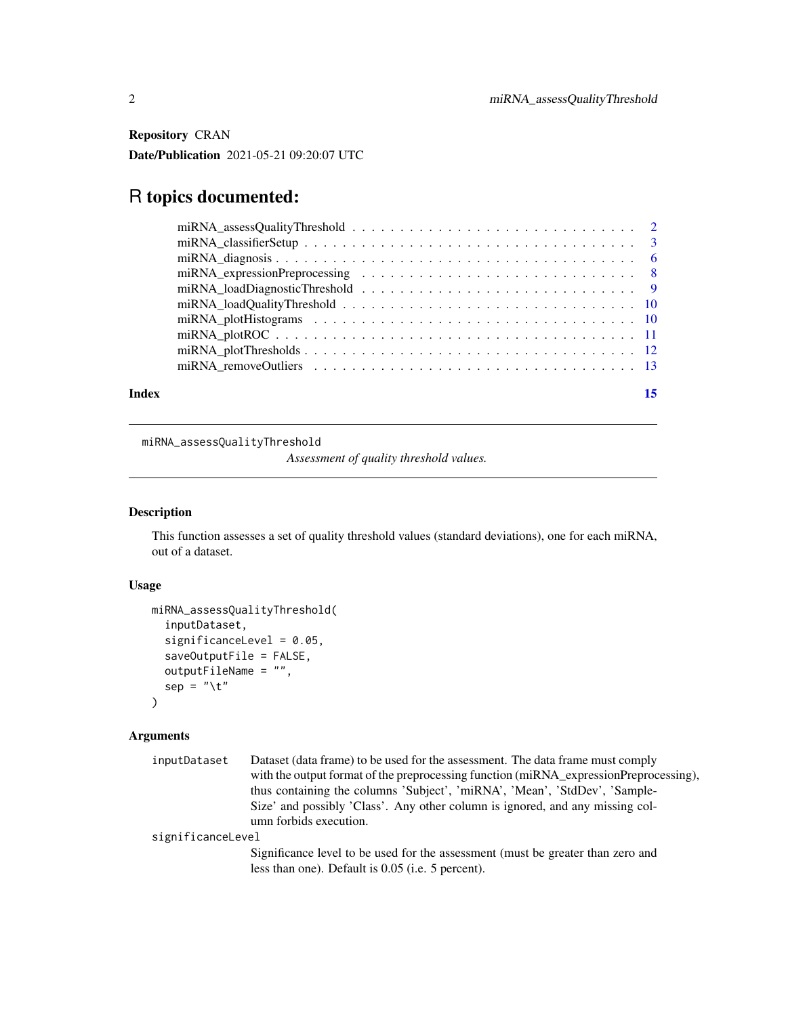<span id="page-1-0"></span>Repository CRAN Date/Publication 2021-05-21 09:20:07 UTC

## R topics documented:

| Index | 15 |
|-------|----|

miRNA\_assessQualityThreshold

*Assessment of quality threshold values.*

## Description

This function assesses a set of quality threshold values (standard deviations), one for each miRNA, out of a dataset.

## Usage

```
miRNA_assessQualityThreshold(
  inputDataset,
  significanceLevel = 0.05,
  saveOutputFile = FALSE,
  outputFileName = "",
  sep = "\t"
\mathcal{L}
```

| inputDataset      | Dataset (data frame) to be used for the assessment. The data frame must comply                                                       |
|-------------------|--------------------------------------------------------------------------------------------------------------------------------------|
|                   | with the output format of the preprocessing function (miRNA_expressionPreprocessing),                                                |
|                   | thus containing the columns 'Subject', 'miRNA', 'Mean', 'StdDev', 'Sample-                                                           |
|                   | Size' and possibly 'Class'. Any other column is ignored, and any missing col-                                                        |
|                   | umn forbids execution.                                                                                                               |
| significanceLevel |                                                                                                                                      |
|                   | Significance level to be used for the assessment (must be greater than zero and<br>less than one). Default is 0.05 (i.e. 5 percent). |
|                   |                                                                                                                                      |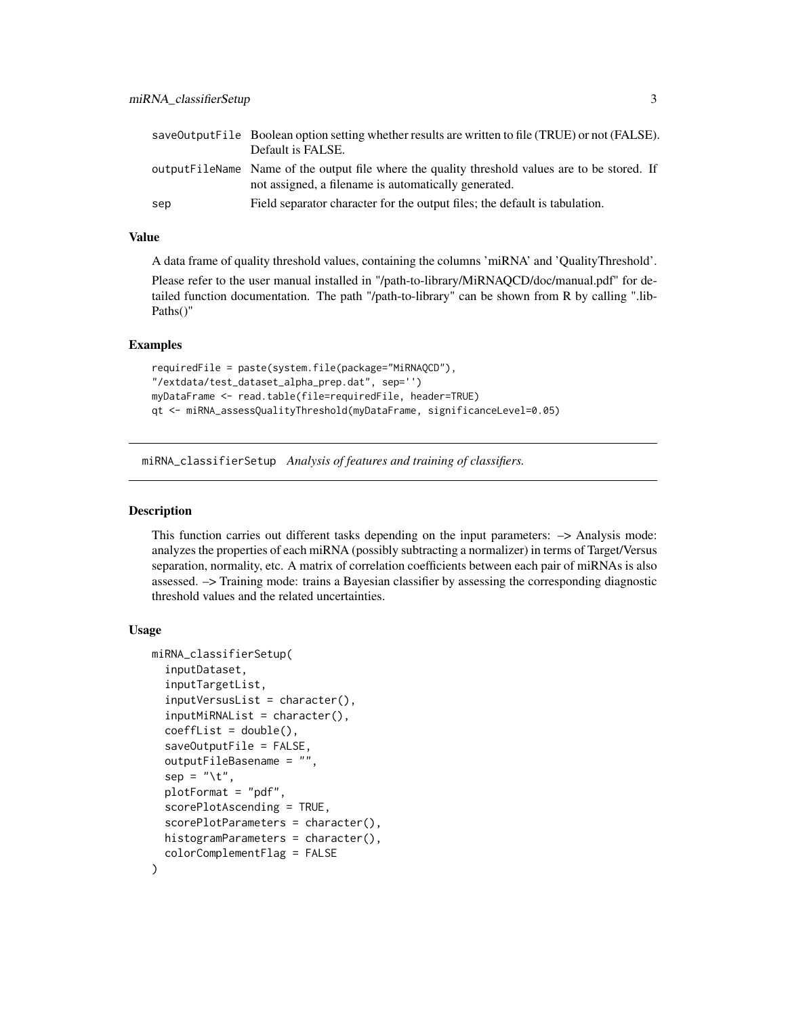<span id="page-2-0"></span>

|     | save Output File Boolean option setting whether results are written to file (TRUE) or not (FALSE).<br>Default is FALSE.                                 |
|-----|---------------------------------------------------------------------------------------------------------------------------------------------------------|
|     | output FileName Name of the output file where the quality threshold values are to be stored. If<br>not assigned, a filename is automatically generated. |
| sep | Field separator character for the output files; the default is tabulation.                                                                              |

## Value

A data frame of quality threshold values, containing the columns 'miRNA' and 'QualityThreshold'.

Please refer to the user manual installed in "/path-to-library/MiRNAQCD/doc/manual.pdf" for detailed function documentation. The path "/path-to-library" can be shown from R by calling ".lib-Paths()"

#### Examples

```
requiredFile = paste(system.file(package="MiRNAQCD"),
"/extdata/test_dataset_alpha_prep.dat", sep='')
myDataFrame <- read.table(file=requiredFile, header=TRUE)
qt <- miRNA_assessQualityThreshold(myDataFrame, significanceLevel=0.05)
```
miRNA\_classifierSetup *Analysis of features and training of classifiers.*

#### Description

This function carries out different tasks depending on the input parameters: –> Analysis mode: analyzes the properties of each miRNA (possibly subtracting a normalizer) in terms of Target/Versus separation, normality, etc. A matrix of correlation coefficients between each pair of miRNAs is also assessed. –> Training mode: trains a Bayesian classifier by assessing the corresponding diagnostic threshold values and the related uncertainties.

#### Usage

```
miRNA_classifierSetup(
  inputDataset,
  inputTargetList,
  inputVersusList = character(),
  inputMiRNAList = character(),
  coeffList = double(),saveOutputFile = FALSE,
  outputFileBasename = "",
  sep = "\t",
  plotFormat = "pdf",
  scorePlotAscending = TRUE,
  scorePlotParameters = character(),
  histogramParameters = character(),
  colorComplementFlag = FALSE
)
```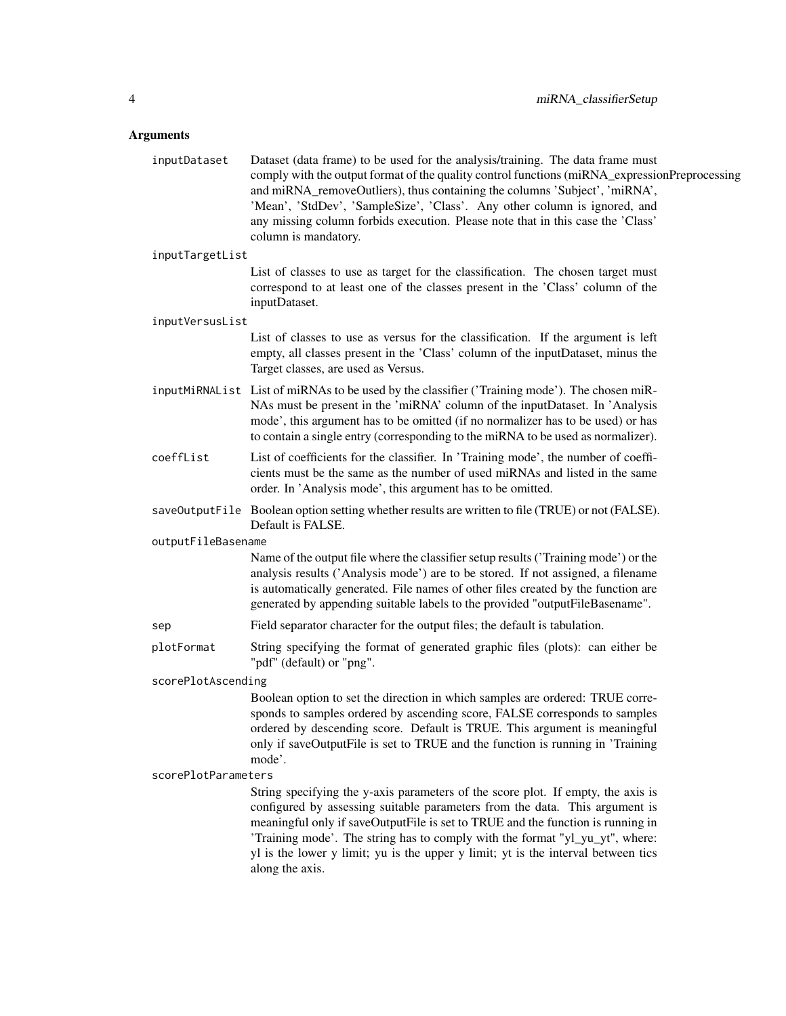| inputDataset        | Dataset (data frame) to be used for the analysis/training. The data frame must<br>comply with the output format of the quality control functions (miRNA_expressionPreprocessing<br>and miRNA_removeOutliers), thus containing the columns 'Subject', 'miRNA',<br>'Mean', 'StdDev', 'SampleSize', 'Class'. Any other column is ignored, and<br>any missing column forbids execution. Please note that in this case the 'Class'<br>column is mandatory. |  |
|---------------------|-------------------------------------------------------------------------------------------------------------------------------------------------------------------------------------------------------------------------------------------------------------------------------------------------------------------------------------------------------------------------------------------------------------------------------------------------------|--|
| inputTargetList     |                                                                                                                                                                                                                                                                                                                                                                                                                                                       |  |
|                     | List of classes to use as target for the classification. The chosen target must<br>correspond to at least one of the classes present in the 'Class' column of the<br>inputDataset.                                                                                                                                                                                                                                                                    |  |
| inputVersusList     |                                                                                                                                                                                                                                                                                                                                                                                                                                                       |  |
|                     | List of classes to use as versus for the classification. If the argument is left<br>empty, all classes present in the 'Class' column of the inputDataset, minus the<br>Target classes, are used as Versus.                                                                                                                                                                                                                                            |  |
|                     | inputMiRNAList List of miRNAs to be used by the classifier ('Training mode'). The chosen miR-<br>NAs must be present in the 'miRNA' column of the inputDataset. In 'Analysis<br>mode', this argument has to be omitted (if no normalizer has to be used) or has<br>to contain a single entry (corresponding to the miRNA to be used as normalizer).                                                                                                   |  |
| coeffList           | List of coefficients for the classifier. In 'Training mode', the number of coeffi-<br>cients must be the same as the number of used miRNAs and listed in the same<br>order. In 'Analysis mode', this argument has to be omitted.                                                                                                                                                                                                                      |  |
|                     | save0utputFile Boolean option setting whether results are written to file (TRUE) or not (FALSE).<br>Default is FALSE.                                                                                                                                                                                                                                                                                                                                 |  |
| outputFileBasename  |                                                                                                                                                                                                                                                                                                                                                                                                                                                       |  |
|                     | Name of the output file where the classifier setup results ('Training mode') or the<br>analysis results ('Analysis mode') are to be stored. If not assigned, a filename<br>is automatically generated. File names of other files created by the function are<br>generated by appending suitable labels to the provided "outputFileBasename".                                                                                                          |  |
| sep                 | Field separator character for the output files; the default is tabulation.                                                                                                                                                                                                                                                                                                                                                                            |  |
| plotFormat          | String specifying the format of generated graphic files (plots): can either be<br>"pdf" (default) or "png".                                                                                                                                                                                                                                                                                                                                           |  |
| scorePlotAscending  |                                                                                                                                                                                                                                                                                                                                                                                                                                                       |  |
|                     | Boolean option to set the direction in which samples are ordered: TRUE corre-<br>sponds to samples ordered by ascending score, FALSE corresponds to samples<br>ordered by descending score. Default is TRUE. This argument is meaningful<br>only if saveOutputFile is set to TRUE and the function is running in 'Training<br>mode'.                                                                                                                  |  |
| scorePlotParameters |                                                                                                                                                                                                                                                                                                                                                                                                                                                       |  |
|                     | String specifying the y-axis parameters of the score plot. If empty, the axis is<br>configured by assessing suitable parameters from the data. This argument is<br>meaningful only if saveOutputFile is set to TRUE and the function is running in<br>'Training mode'. The string has to comply with the format "yl_yu_yt", where:<br>yl is the lower y limit; yu is the upper y limit; yt is the interval between tics<br>along the axis.            |  |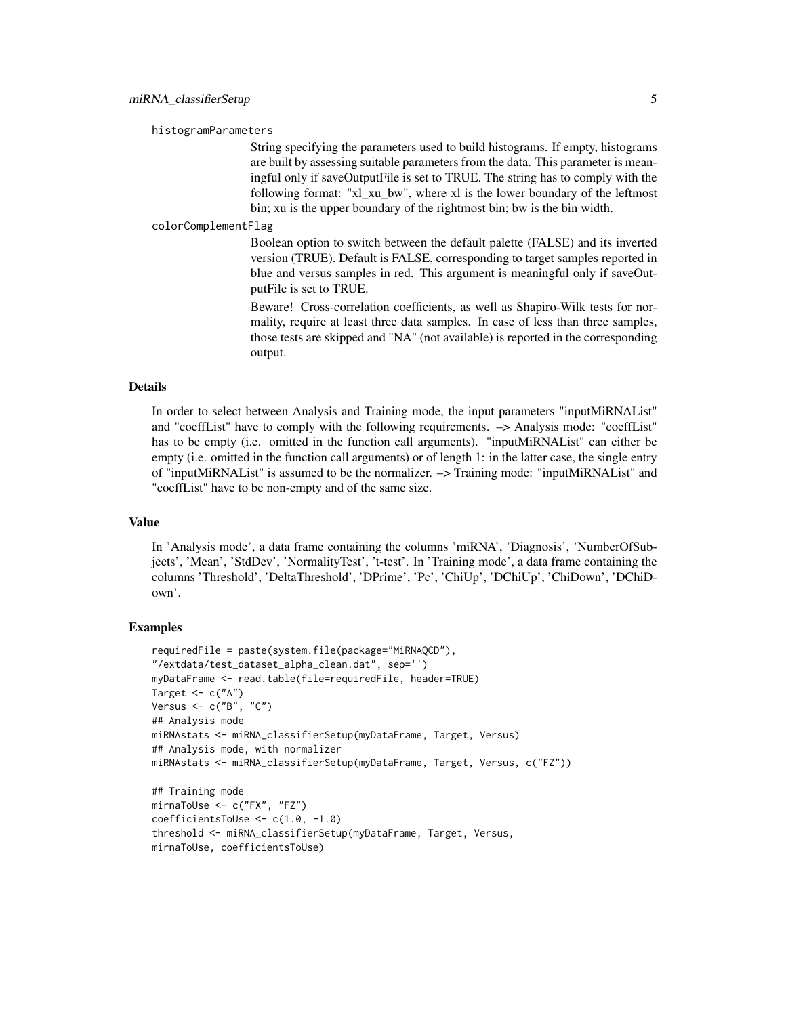histogramParameters

String specifying the parameters used to build histograms. If empty, histograms are built by assessing suitable parameters from the data. This parameter is meaningful only if saveOutputFile is set to TRUE. The string has to comply with the following format: "xl\_xu\_bw", where xl is the lower boundary of the leftmost bin; xu is the upper boundary of the rightmost bin; bw is the bin width.

colorComplementFlag

Boolean option to switch between the default palette (FALSE) and its inverted version (TRUE). Default is FALSE, corresponding to target samples reported in blue and versus samples in red. This argument is meaningful only if saveOutputFile is set to TRUE.

Beware! Cross-correlation coefficients, as well as Shapiro-Wilk tests for normality, require at least three data samples. In case of less than three samples, those tests are skipped and "NA" (not available) is reported in the corresponding output.

## Details

In order to select between Analysis and Training mode, the input parameters "inputMiRNAList" and "coeffList" have to comply with the following requirements. –> Analysis mode: "coeffList" has to be empty (i.e. omitted in the function call arguments). "inputMiRNAList" can either be empty (i.e. omitted in the function call arguments) or of length 1: in the latter case, the single entry of "inputMiRNAList" is assumed to be the normalizer. –> Training mode: "inputMiRNAList" and "coeffList" have to be non-empty and of the same size.

## Value

In 'Analysis mode', a data frame containing the columns 'miRNA', 'Diagnosis', 'NumberOfSubjects', 'Mean', 'StdDev', 'NormalityTest', 't-test'. In 'Training mode', a data frame containing the columns 'Threshold', 'DeltaThreshold', 'DPrime', 'Pc', 'ChiUp', 'DChiUp', 'ChiDown', 'DChiDown'.

#### Examples

```
requiredFile = paste(system.file(package="MiRNAQCD"),
"/extdata/test_dataset_alpha_clean.dat", sep='')
myDataFrame <- read.table(file=requiredFile, header=TRUE)
Target \leq c("A")
Versus <- c("B", "C")
## Analysis mode
miRNAstats <- miRNA_classifierSetup(myDataFrame, Target, Versus)
## Analysis mode, with normalizer
miRNAstats <- miRNA_classifierSetup(myDataFrame, Target, Versus, c("FZ"))
## Training mode
mirnaToUse <- c("FX", "FZ")
coefficientsToUse <- c(1.0, -1.0)
threshold <- miRNA_classifierSetup(myDataFrame, Target, Versus,
```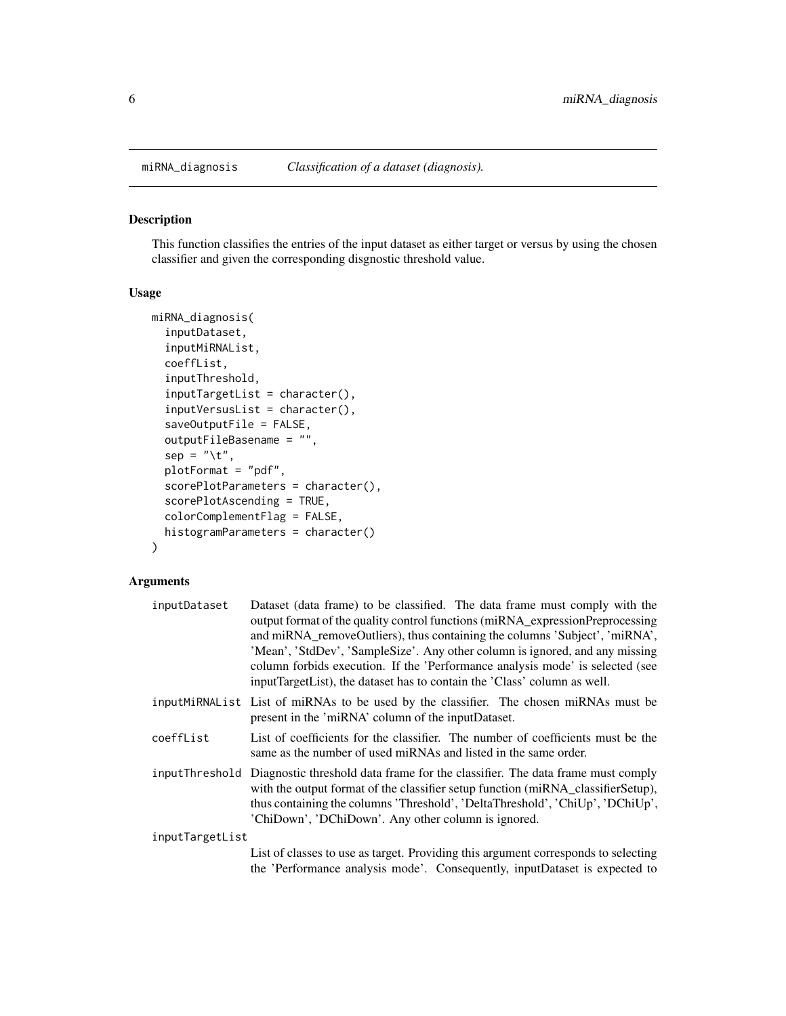## Description

This function classifies the entries of the input dataset as either target or versus by using the chosen classifier and given the corresponding disgnostic threshold value.

#### Usage

```
miRNA_diagnosis(
  inputDataset,
  inputMiRNAList,
  coeffList,
  inputThreshold,
  inputTargetList = character(),
  inputVersusList = character(),
  saveOutputFile = FALSE,
  outputFileBasename = "",
  sep = "\t",
  plotFormat = "pdf",
  scorePlotParameters = character(),
  scorePlotAscending = TRUE,
  colorComplementFlag = FALSE,
  histogramParameters = character()
\mathcal{E}
```

| inputDataset    | Dataset (data frame) to be classified. The data frame must comply with the<br>output format of the quality control functions (miRNA_expressionPreprocessing<br>and miRNA_removeOutliers), thus containing the columns 'Subject', 'miRNA',<br>'Mean', 'StdDev', 'SampleSize'. Any other column is ignored, and any missing<br>column forbids execution. If the 'Performance analysis mode' is selected (see<br>inputTargetList), the dataset has to contain the 'Class' column as well. |
|-----------------|----------------------------------------------------------------------------------------------------------------------------------------------------------------------------------------------------------------------------------------------------------------------------------------------------------------------------------------------------------------------------------------------------------------------------------------------------------------------------------------|
|                 | inputMiRNAList List of miRNAs to be used by the classifier. The chosen miRNAs must be<br>present in the 'miRNA' column of the inputDataset.                                                                                                                                                                                                                                                                                                                                            |
| coeffList       | List of coefficients for the classifier. The number of coefficients must be the<br>same as the number of used miRNAs and listed in the same order.                                                                                                                                                                                                                                                                                                                                     |
|                 | input Threshold Diagnostic threshold data frame for the classifier. The data frame must comply<br>with the output format of the classifier setup function (miRNA_classifierSetup),<br>thus containing the columns 'Threshold', 'DeltaThreshold', 'ChiUp', 'DChiUp',<br>'ChiDown', 'DChiDown'. Any other column is ignored.                                                                                                                                                             |
| inputTargetList |                                                                                                                                                                                                                                                                                                                                                                                                                                                                                        |
|                 | List of classes to use as target. Providing this argument corresponds to selecting<br>the 'Performance analysis mode'. Consequently, inputDataset is expected to                                                                                                                                                                                                                                                                                                                       |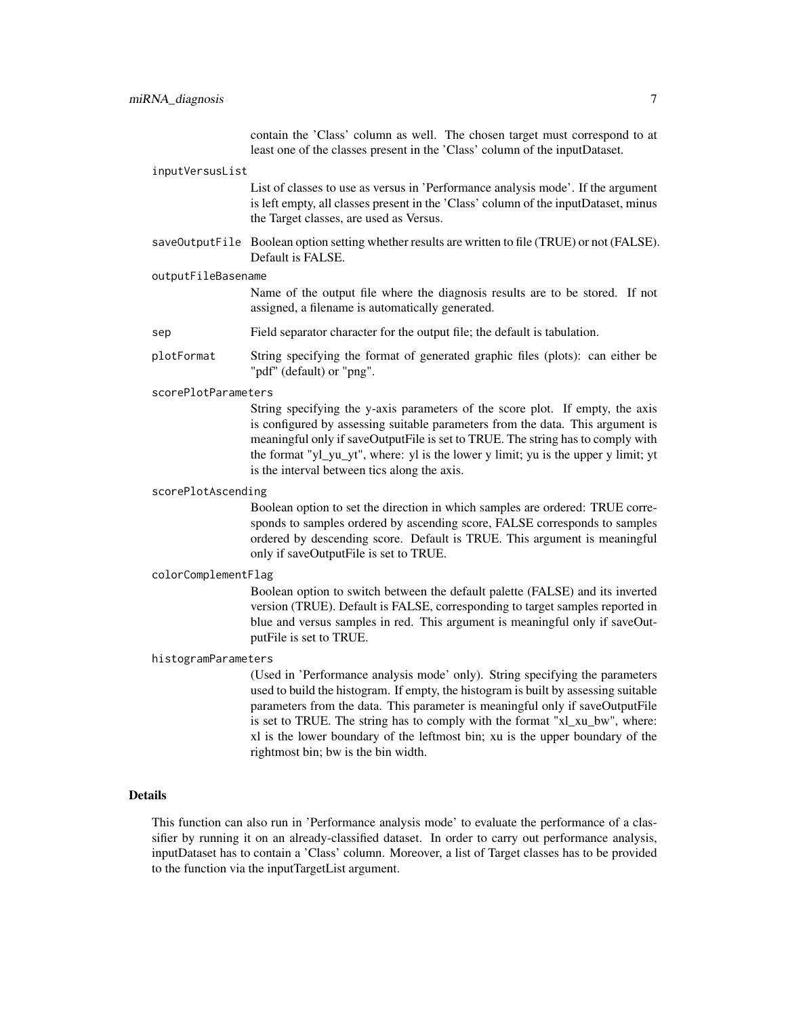contain the 'Class' column as well. The chosen target must correspond to at least one of the classes present in the 'Class' column of the inputDataset.

#### inputVersusList

List of classes to use as versus in 'Performance analysis mode'. If the argument is left empty, all classes present in the 'Class' column of the inputDataset, minus the Target classes, are used as Versus.

saveOutputFile Boolean option setting whether results are written to file (TRUE) or not (FALSE). Default is FALSE.

#### outputFileBasename

Name of the output file where the diagnosis results are to be stored. If not assigned, a filename is automatically generated.

- sep Field separator character for the output file; the default is tabulation.
- plotFormat String specifying the format of generated graphic files (plots): can either be "pdf" (default) or "png".

#### scorePlotParameters

String specifying the y-axis parameters of the score plot. If empty, the axis is configured by assessing suitable parameters from the data. This argument is meaningful only if saveOutputFile is set to TRUE. The string has to comply with the format "yl\_yu\_yt", where: yl is the lower y limit; yu is the upper y limit; yt is the interval between tics along the axis.

#### scorePlotAscending

Boolean option to set the direction in which samples are ordered: TRUE corresponds to samples ordered by ascending score, FALSE corresponds to samples ordered by descending score. Default is TRUE. This argument is meaningful only if saveOutputFile is set to TRUE.

#### colorComplementFlag

Boolean option to switch between the default palette (FALSE) and its inverted version (TRUE). Default is FALSE, corresponding to target samples reported in blue and versus samples in red. This argument is meaningful only if saveOutputFile is set to TRUE.

#### histogramParameters

(Used in 'Performance analysis mode' only). String specifying the parameters used to build the histogram. If empty, the histogram is built by assessing suitable parameters from the data. This parameter is meaningful only if saveOutputFile is set to TRUE. The string has to comply with the format "xl\_xu\_bw", where: xl is the lower boundary of the leftmost bin; xu is the upper boundary of the rightmost bin; bw is the bin width.

#### Details

This function can also run in 'Performance analysis mode' to evaluate the performance of a classifier by running it on an already-classified dataset. In order to carry out performance analysis, inputDataset has to contain a 'Class' column. Moreover, a list of Target classes has to be provided to the function via the inputTargetList argument.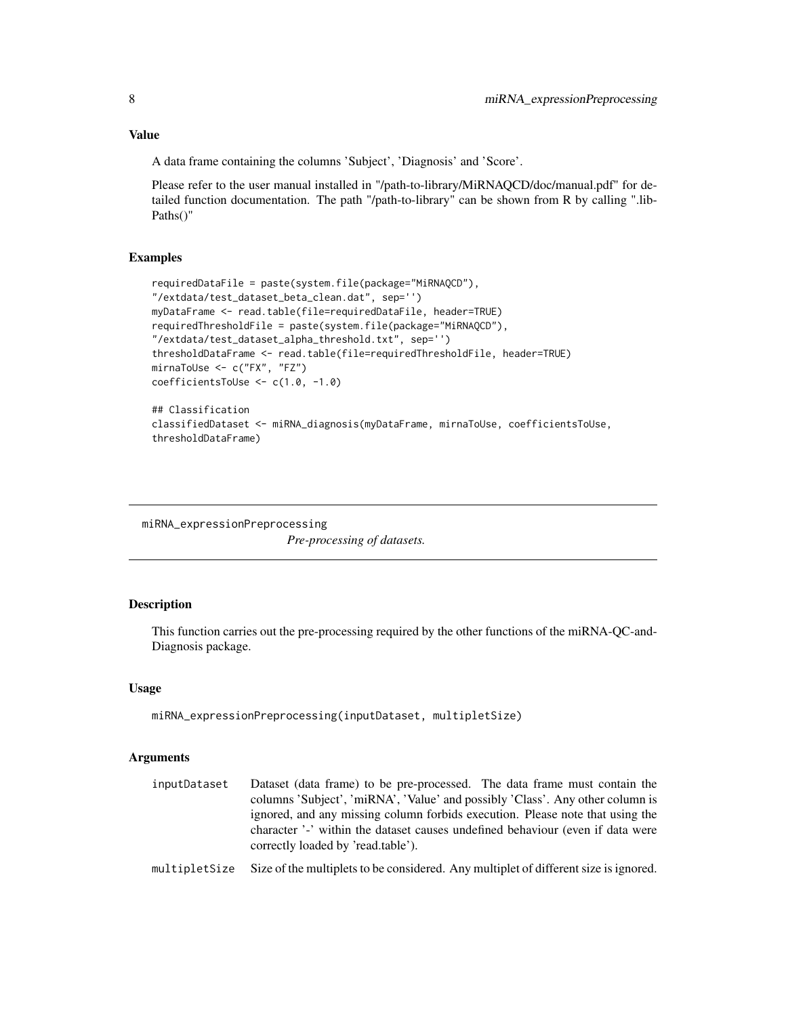## <span id="page-7-0"></span>Value

A data frame containing the columns 'Subject', 'Diagnosis' and 'Score'.

Please refer to the user manual installed in "/path-to-library/MiRNAQCD/doc/manual.pdf" for detailed function documentation. The path "/path-to-library" can be shown from R by calling ".lib-Paths()"

### Examples

```
requiredDataFile = paste(system.file(package="MiRNAQCD"),
"/extdata/test_dataset_beta_clean.dat", sep='')
myDataFrame <- read.table(file=requiredDataFile, header=TRUE)
requiredThresholdFile = paste(system.file(package="MiRNAQCD"),
"/extdata/test_dataset_alpha_threshold.txt", sep='')
thresholdDataFrame <- read.table(file=requiredThresholdFile, header=TRUE)
mirnaToUse <- c("FX", "FZ")
coefficientsToUse <- c(1.0, -1.0)
## Classification
classifiedDataset <- miRNA_diagnosis(myDataFrame, mirnaToUse, coefficientsToUse,
thresholdDataFrame)
```
miRNA\_expressionPreprocessing

*Pre-processing of datasets.*

## Description

This function carries out the pre-processing required by the other functions of the miRNA-QC-and-Diagnosis package.

#### Usage

```
miRNA_expressionPreprocessing(inputDataset, multipletSize)
```
- inputDataset Dataset (data frame) to be pre-processed. The data frame must contain the columns 'Subject', 'miRNA', 'Value' and possibly 'Class'. Any other column is ignored, and any missing column forbids execution. Please note that using the character '-' within the dataset causes undefined behaviour (even if data were correctly loaded by 'read.table').
- multipletSize Size of the multiplets to be considered. Any multiplet of different size is ignored.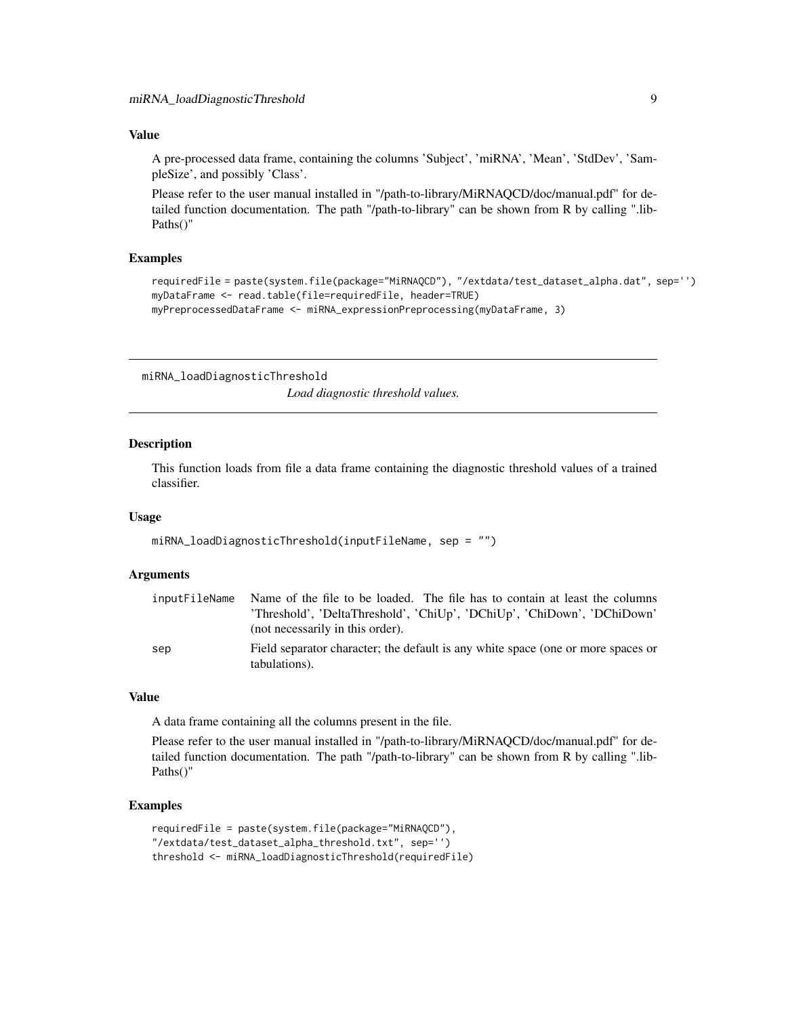## <span id="page-8-0"></span>Value

A pre-processed data frame, containing the columns 'Subject', 'miRNA', 'Mean', 'StdDev', 'SampleSize', and possibly 'Class'.

Please refer to the user manual installed in "/path-to-library/MiRNAQCD/doc/manual.pdf" for detailed function documentation. The path "/path-to-library" can be shown from R by calling ".lib-Paths()"

## Examples

```
requiredFile = paste(system.file(package="MiRNAQCD"), "/extdata/test_dataset_alpha.dat", sep='')
myDataFrame <- read.table(file=requiredFile, header=TRUE)
myPreprocessedDataFrame <- miRNA_expressionPreprocessing(myDataFrame, 3)
```
miRNA\_loadDiagnosticThreshold

*Load diagnostic threshold values.*

## Description

This function loads from file a data frame containing the diagnostic threshold values of a trained classifier.

#### Usage

```
miRNA_loadDiagnosticThreshold(inputFileName, sep = "")
```
## Arguments

| inputFileName | Name of the file to be loaded. The file has to contain at least the columns      |
|---------------|----------------------------------------------------------------------------------|
|               | 'Threshold', 'DeltaThreshold', 'ChiUp', 'DChiUp', 'ChiDown', 'DChiDown'          |
|               | (not necessarily in this order).                                                 |
| sep           | Field separator character; the default is any white space (one or more spaces or |
|               | tabulations).                                                                    |

#### Value

A data frame containing all the columns present in the file.

Please refer to the user manual installed in "/path-to-library/MiRNAQCD/doc/manual.pdf" for detailed function documentation. The path "/path-to-library" can be shown from R by calling ".lib-Paths()"

### Examples

```
requiredFile = paste(system.file(package="MiRNAQCD"),
"/extdata/test_dataset_alpha_threshold.txt", sep='')
threshold <- miRNA_loadDiagnosticThreshold(requiredFile)
```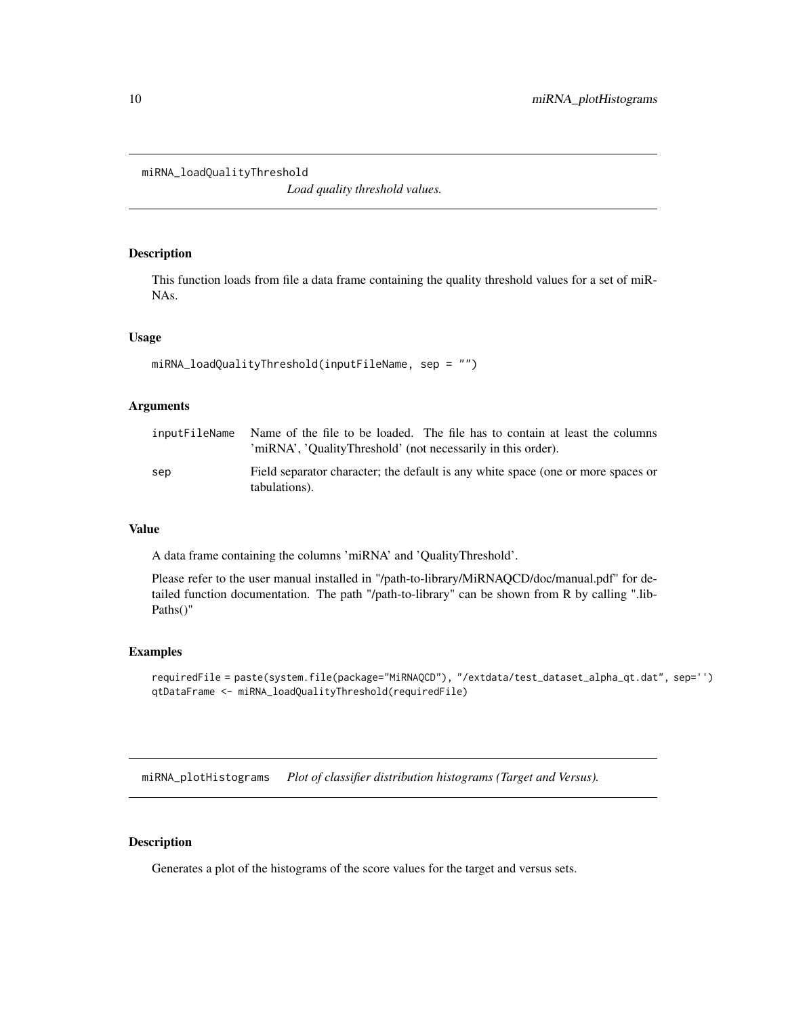```
miRNA_loadQualityThreshold
```
*Load quality threshold values.*

## Description

This function loads from file a data frame containing the quality threshold values for a set of miR-NAs.

## Usage

```
miRNA_loadQualityThreshold(inputFileName, sep = "")
```
## Arguments

| inputFileName | Name of the file to be loaded. The file has to contain at least the columns<br>'miRNA', 'QualityThreshold' (not necessarily in this order). |
|---------------|---------------------------------------------------------------------------------------------------------------------------------------------|
| sep           | Field separator character; the default is any white space (one or more spaces or<br>tabulations).                                           |

## Value

A data frame containing the columns 'miRNA' and 'QualityThreshold'.

Please refer to the user manual installed in "/path-to-library/MiRNAQCD/doc/manual.pdf" for detailed function documentation. The path "/path-to-library" can be shown from R by calling ".lib-Paths()"

#### Examples

```
requiredFile = paste(system.file(package="MiRNAQCD"), "/extdata/test_dataset_alpha_qt.dat", sep='')
qtDataFrame <- miRNA_loadQualityThreshold(requiredFile)
```
miRNA\_plotHistograms *Plot of classifier distribution histograms (Target and Versus).*

## Description

Generates a plot of the histograms of the score values for the target and versus sets.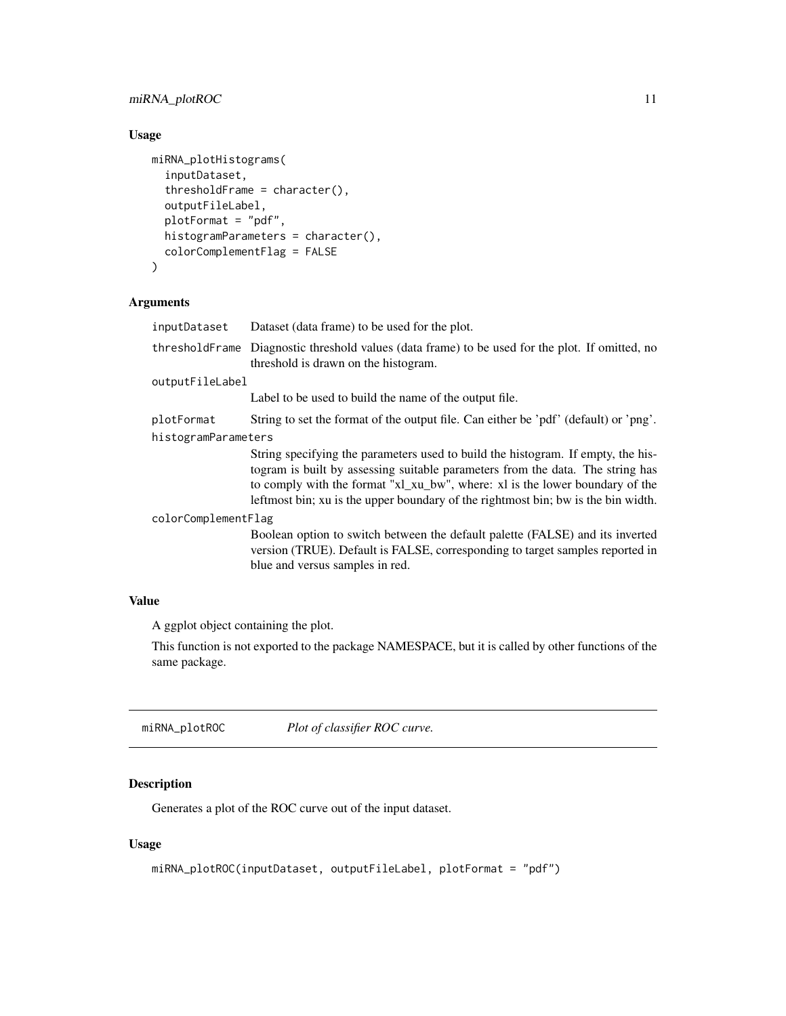## <span id="page-10-0"></span>miRNA\_plotROC 11

## Usage

```
miRNA_plotHistograms(
  inputDataset,
  thresholdFrame = character(),
  outputFileLabel,
 plotFormat = "pdf",
 histogramParameters = character(),
  colorComplementFlag = FALSE
)
```
## Arguments

| inputDataset        | Dataset (data frame) to be used for the plot.                                                                                                                                                                                                                                                                                           |
|---------------------|-----------------------------------------------------------------------------------------------------------------------------------------------------------------------------------------------------------------------------------------------------------------------------------------------------------------------------------------|
|                     | threshold Frame Diagnostic threshold values (data frame) to be used for the plot. If omitted, no<br>threshold is drawn on the histogram.                                                                                                                                                                                                |
| outputFileLabel     |                                                                                                                                                                                                                                                                                                                                         |
|                     | Label to be used to build the name of the output file.                                                                                                                                                                                                                                                                                  |
| plotFormat          | String to set the format of the output file. Can either be 'pdf' (default) or 'png'.                                                                                                                                                                                                                                                    |
| histogramParameters |                                                                                                                                                                                                                                                                                                                                         |
|                     | String specifying the parameters used to build the histogram. If empty, the his-<br>togram is built by assessing suitable parameters from the data. The string has<br>to comply with the format "x1_xu_bw", where: x1 is the lower boundary of the<br>leftmost bin; xu is the upper boundary of the rightmost bin; bw is the bin width. |
| colorComplementFlag |                                                                                                                                                                                                                                                                                                                                         |
|                     | Boolean option to switch between the default palette (FALSE) and its inverted<br>version (TRUE). Default is FALSE, corresponding to target samples reported in<br>blue and versus samples in red.                                                                                                                                       |

## Value

A ggplot object containing the plot.

This function is not exported to the package NAMESPACE, but it is called by other functions of the same package.

miRNA\_plotROC *Plot of classifier ROC curve.*

## Description

Generates a plot of the ROC curve out of the input dataset.

## Usage

```
miRNA_plotROC(inputDataset, outputFileLabel, plotFormat = "pdf")
```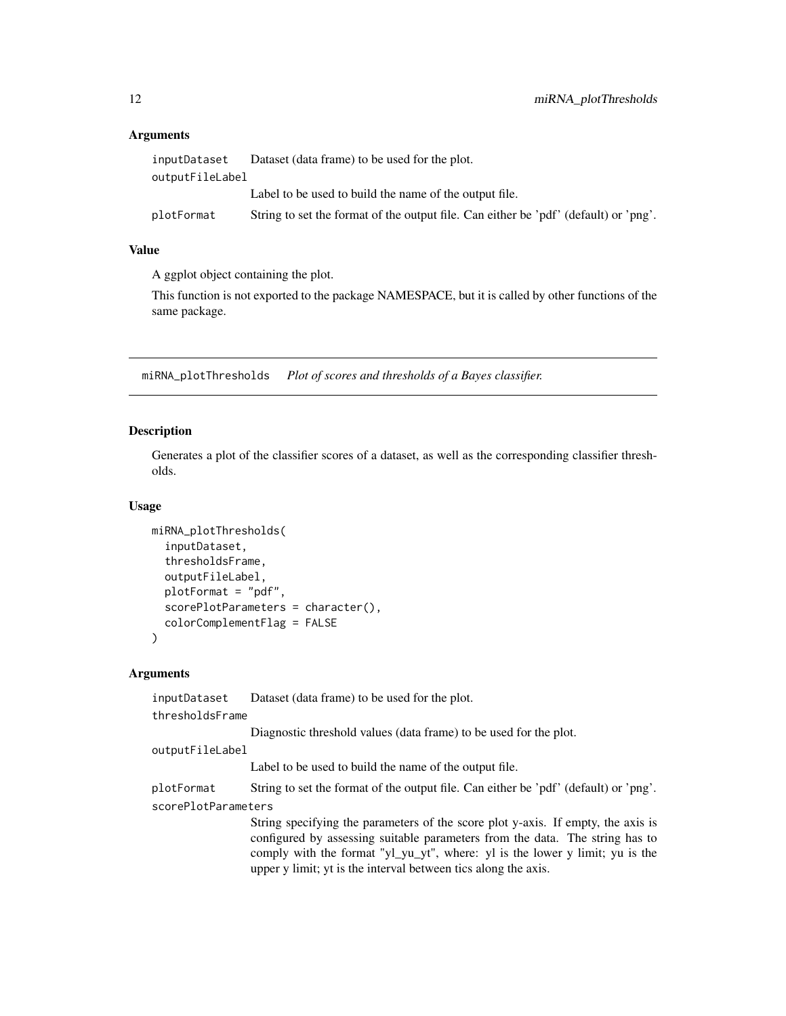## **Arguments**

| inputDataset    | Dataset (data frame) to be used for the plot.                                        |
|-----------------|--------------------------------------------------------------------------------------|
| outputFileLabel |                                                                                      |
|                 | Label to be used to build the name of the output file.                               |
| plotFormat      | String to set the format of the output file. Can either be 'pdf' (default) or 'png'. |

### Value

A ggplot object containing the plot.

This function is not exported to the package NAMESPACE, but it is called by other functions of the same package.

miRNA\_plotThresholds *Plot of scores and thresholds of a Bayes classifier.*

#### Description

Generates a plot of the classifier scores of a dataset, as well as the corresponding classifier thresholds.

#### Usage

```
miRNA_plotThresholds(
  inputDataset,
  thresholdsFrame,
  outputFileLabel,
  plotFormat = "pdf",
  scorePlotParameters = character(),
  colorComplementFlag = FALSE
)
```
#### Arguments

inputDataset Dataset (data frame) to be used for the plot.

thresholdsFrame

Diagnostic threshold values (data frame) to be used for the plot.

```
outputFileLabel
```
Label to be used to build the name of the output file.

plotFormat String to set the format of the output file. Can either be 'pdf' (default) or 'png'. scorePlotParameters

> String specifying the parameters of the score plot y-axis. If empty, the axis is configured by assessing suitable parameters from the data. The string has to comply with the format "yl\_yu\_yt", where: yl is the lower y limit; yu is the upper y limit; yt is the interval between tics along the axis.

<span id="page-11-0"></span>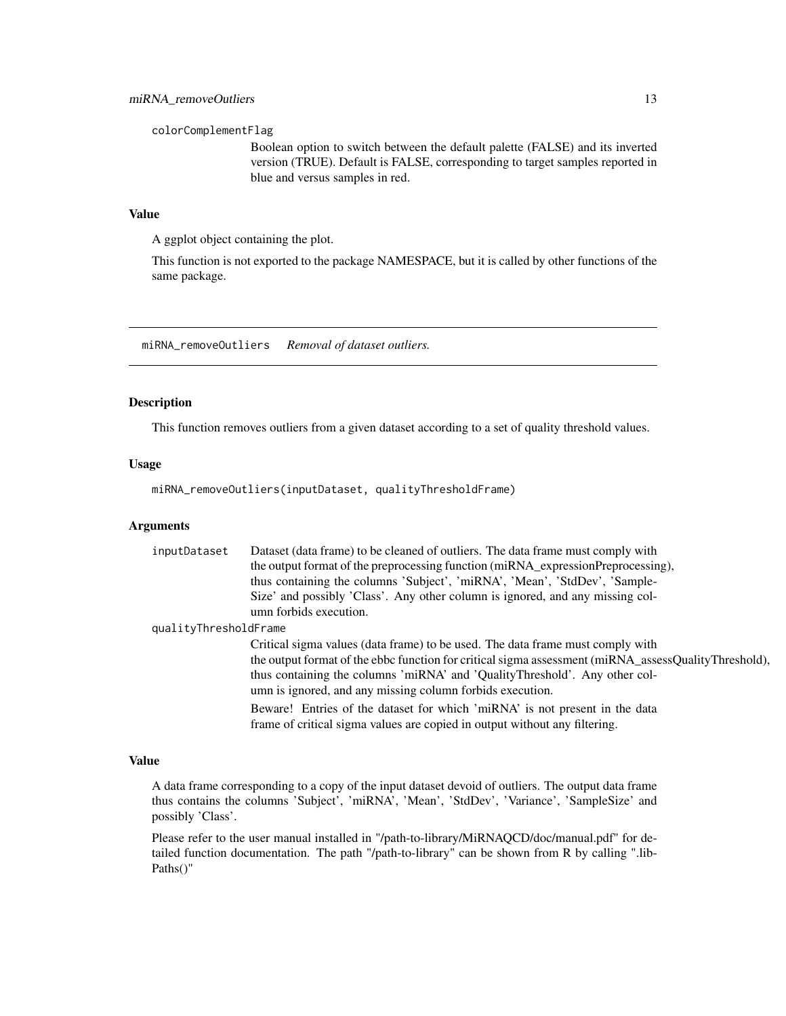<span id="page-12-0"></span>colorComplementFlag

Boolean option to switch between the default palette (FALSE) and its inverted version (TRUE). Default is FALSE, corresponding to target samples reported in blue and versus samples in red.

## Value

A ggplot object containing the plot.

This function is not exported to the package NAMESPACE, but it is called by other functions of the same package.

miRNA\_removeOutliers *Removal of dataset outliers.*

## Description

This function removes outliers from a given dataset according to a set of quality threshold values.

## Usage

miRNA\_removeOutliers(inputDataset, qualityThresholdFrame)

## Arguments

| inputDataset          | Dataset (data frame) to be cleaned of outliers. The data frame must comply with                                                                           |
|-----------------------|-----------------------------------------------------------------------------------------------------------------------------------------------------------|
|                       | the output format of the preprocessing function (miRNA_expressionPreprocessing),                                                                          |
|                       | thus containing the columns 'Subject', 'miRNA', 'Mean', 'StdDev', 'Sample-                                                                                |
|                       | Size' and possibly 'Class'. Any other column is ignored, and any missing col-                                                                             |
|                       | umn forbids execution.                                                                                                                                    |
| qualityThresholdFrame |                                                                                                                                                           |
|                       | Critical sigma values (data frame) to be used. The data frame must comply with                                                                            |
|                       | the output format of the ebbc function for critical sigma assessment (miRNA_assessQualityThreshold),                                                      |
|                       | thus containing the columns 'miRNA' and 'QualityThreshold'. Any other col-                                                                                |
|                       | umn is ignored, and any missing column forbids execution.                                                                                                 |
|                       | Beware! Entries of the dataset for which 'miRNA' is not present in the data<br>frame of critical sigma values are copied in output without any filtering. |
|                       |                                                                                                                                                           |

## Value

A data frame corresponding to a copy of the input dataset devoid of outliers. The output data frame thus contains the columns 'Subject', 'miRNA', 'Mean', 'StdDev', 'Variance', 'SampleSize' and possibly 'Class'.

Please refer to the user manual installed in "/path-to-library/MiRNAQCD/doc/manual.pdf" for detailed function documentation. The path "/path-to-library" can be shown from R by calling ".lib-Paths()"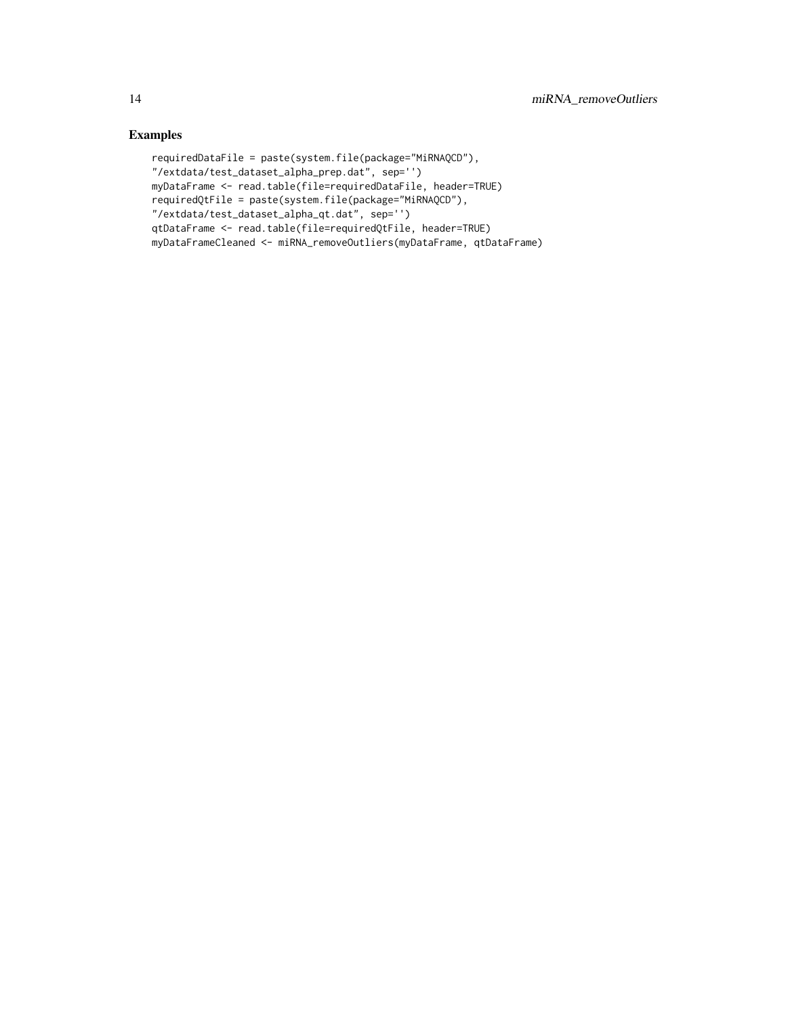## Examples

```
requiredDataFile = paste(system.file(package="MiRNAQCD"),
"/extdata/test_dataset_alpha_prep.dat", sep='')
myDataFrame <- read.table(file=requiredDataFile, header=TRUE)
requiredQtFile = paste(system.file(package="MiRNAQCD"),
"/extdata/test_dataset_alpha_qt.dat", sep='')
qtDataFrame <- read.table(file=requiredQtFile, header=TRUE)
myDataFrameCleaned <- miRNA_removeOutliers(myDataFrame, qtDataFrame)
```